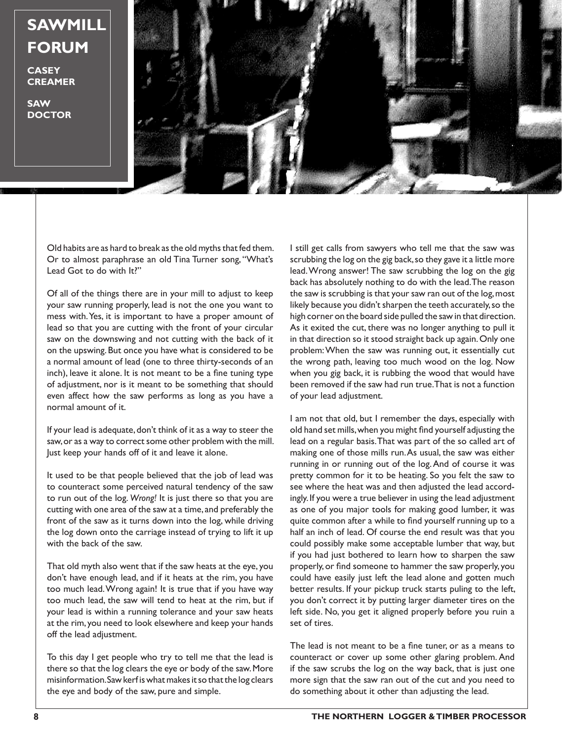**SAWMILL FORUM**

**CASEY CREAMER**

**SAW DOCTOR**



Old habits are as hard to break as the old myths that fed them. Or to almost paraphrase an old Tina Turner song, "What's Lead Got to do with It?"

Of all of the things there are in your mill to adjust to keep your saw running properly, lead is not the one you want to mess with. Yes, it is important to have a proper amount of lead so that you are cutting with the front of your circular saw on the downswing and not cutting with the back of it on the upswing. But once you have what is considered to be a normal amount of lead (one to three thirty-seconds of an inch), leave it alone. It is not meant to be a fine tuning type of adjustment, nor is it meant to be something that should even affect how the saw performs as long as you have a normal amount of it.

If your lead is adequate, don't think of it as a way to steer the saw, or as a way to correct some other problem with the mill. Just keep your hands off of it and leave it alone.

It used to be that people believed that the job of lead was to counteract some perceived natural tendency of the saw to run out of the log. *Wrong!* It is just there so that you are cutting with one area of the saw at a time, and preferably the front of the saw as it turns down into the log, while driving the log down onto the carriage instead of trying to lift it up with the back of the saw.

That old myth also went that if the saw heats at the eye, you don't have enough lead, and if it heats at the rim, you have too much lead. Wrong again! It is true that if you have way too much lead, the saw will tend to heat at the rim, but if your lead is within a running tolerance and your saw heats at the rim, you need to look elsewhere and keep your hands off the lead adjustment.

To this day I get people who try to tell me that the lead is there so that the log clears the eye or body of the saw. More misinformation. Saw kerf is what makes it so that the log clears the eye and body of the saw, pure and simple.

I still get calls from sawyers who tell me that the saw was scrubbing the log on the gig back, so they gave it a little more lead. Wrong answer! The saw scrubbing the log on the gig back has absolutely nothing to do with the lead. The reason the saw is scrubbing is that your saw ran out of the log, most likely because you didn't sharpen the teeth accurately, so the high corner on the board side pulled the saw in that direction. As it exited the cut, there was no longer anything to pull it in that direction so it stood straight back up again. Only one problem: When the saw was running out, it essentially cut the wrong path, leaving too much wood on the log. Now when you gig back, it is rubbing the wood that would have been removed if the saw had run true. That is not a function of your lead adjustment.

I am not that old, but I remember the days, especially with old hand set mills, when you might find yourself adjusting the lead on a regular basis. That was part of the so called art of making one of those mills run. As usual, the saw was either running in or running out of the log. And of course it was pretty common for it to be heating. So you felt the saw to see where the heat was and then adjusted the lead accordingly. If you were a true believer in using the lead adjustment as one of you major tools for making good lumber, it was quite common after a while to find yourself running up to a half an inch of lead. Of course the end result was that you could possibly make some acceptable lumber that way, but if you had just bothered to learn how to sharpen the saw properly, or find someone to hammer the saw properly, you could have easily just left the lead alone and gotten much better results. If your pickup truck starts puling to the left, you don't correct it by putting larger diameter tires on the left side. No, you get it aligned properly before you ruin a set of tires.

The lead is not meant to be a fine tuner, or as a means to counteract or cover up some other glaring problem. And if the saw scrubs the log on the way back, that is just one more sign that the saw ran out of the cut and you need to do something about it other than adjusting the lead.